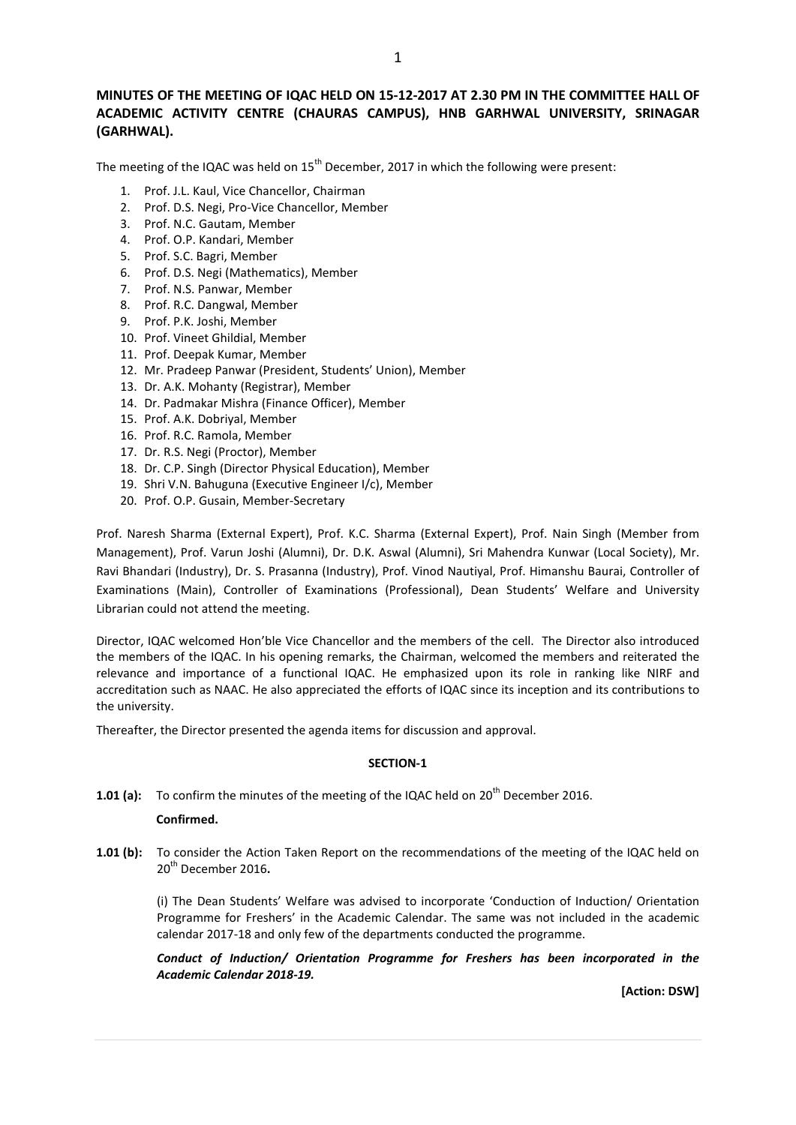# MINUTES OF THE MEETING OF IQAC HELD ON 15-12-2017 AT 2.30 PM IN THE COMMITTEE HALL OF ACADEMIC ACTIVITY CENTRE (CHAURAS CAMPUS), HNB GARHWAL UNIVERSITY, SRINAGAR (GARHWAL).

The meeting of the IQAC was held on  $15<sup>th</sup>$  December, 2017 in which the following were present:

- 1. Prof. J.L. Kaul, Vice Chancellor, Chairman
- 2. Prof. D.S. Negi, Pro-Vice Chancellor, Member
- 3. Prof. N.C. Gautam, Member
- 4. Prof. O.P. Kandari, Member
- 5. Prof. S.C. Bagri, Member
- 6. Prof. D.S. Negi (Mathematics), Member
- 7. Prof. N.S. Panwar, Member
- 8. Prof. R.C. Dangwal, Member
- 9. Prof. P.K. Joshi, Member
- 10. Prof. Vineet Ghildial, Member
- 11. Prof. Deepak Kumar, Member
- 12. Mr. Pradeep Panwar (President, Students' Union), Member
- 13. Dr. A.K. Mohanty (Registrar), Member
- 14. Dr. Padmakar Mishra (Finance Officer), Member
- 15. Prof. A.K. Dobriyal, Member
- 16. Prof. R.C. Ramola, Member
- 17. Dr. R.S. Negi (Proctor), Member
- 18. Dr. C.P. Singh (Director Physical Education), Member
- 19. Shri V.N. Bahuguna (Executive Engineer I/c), Member
- 20. Prof. O.P. Gusain, Member-Secretary

Prof. Naresh Sharma (External Expert), Prof. K.C. Sharma (External Expert), Prof. Nain Singh (Member from Management), Prof. Varun Joshi (Alumni), Dr. D.K. Aswal (Alumni), Sri Mahendra Kunwar (Local Society), Mr. Ravi Bhandari (Industry), Dr. S. Prasanna (Industry), Prof. Vinod Nautiyal, Prof. Himanshu Baurai, Controller of Examinations (Main), Controller of Examinations (Professional), Dean Students' Welfare and University Librarian could not attend the meeting.

Director, IQAC welcomed Hon'ble Vice Chancellor and the members of the cell. The Director also introduced the members of the IQAC. In his opening remarks, the Chairman, welcomed the members and reiterated the relevance and importance of a functional IQAC. He emphasized upon its role in ranking like NIRF and accreditation such as NAAC. He also appreciated the efforts of IQAC since its inception and its contributions to the university.

Thereafter, the Director presented the agenda items for discussion and approval.

## SECTION-1

1.01 (a): To confirm the minutes of the meeting of the IQAC held on  $20^{th}$  December 2016.

## Confirmed.

1.01 (b): To consider the Action Taken Report on the recommendations of the meeting of the IQAC held on 20<sup>th</sup> December 2016.

> (i) The Dean Students' Welfare was advised to incorporate 'Conduction of Induction/ Orientation Programme for Freshers' in the Academic Calendar. The same was not included in the academic calendar 2017-18 and only few of the departments conducted the programme.

> Conduct of Induction/ Orientation Programme for Freshers has been incorporated in the Academic Calendar 2018-19.

> > [Action: DSW]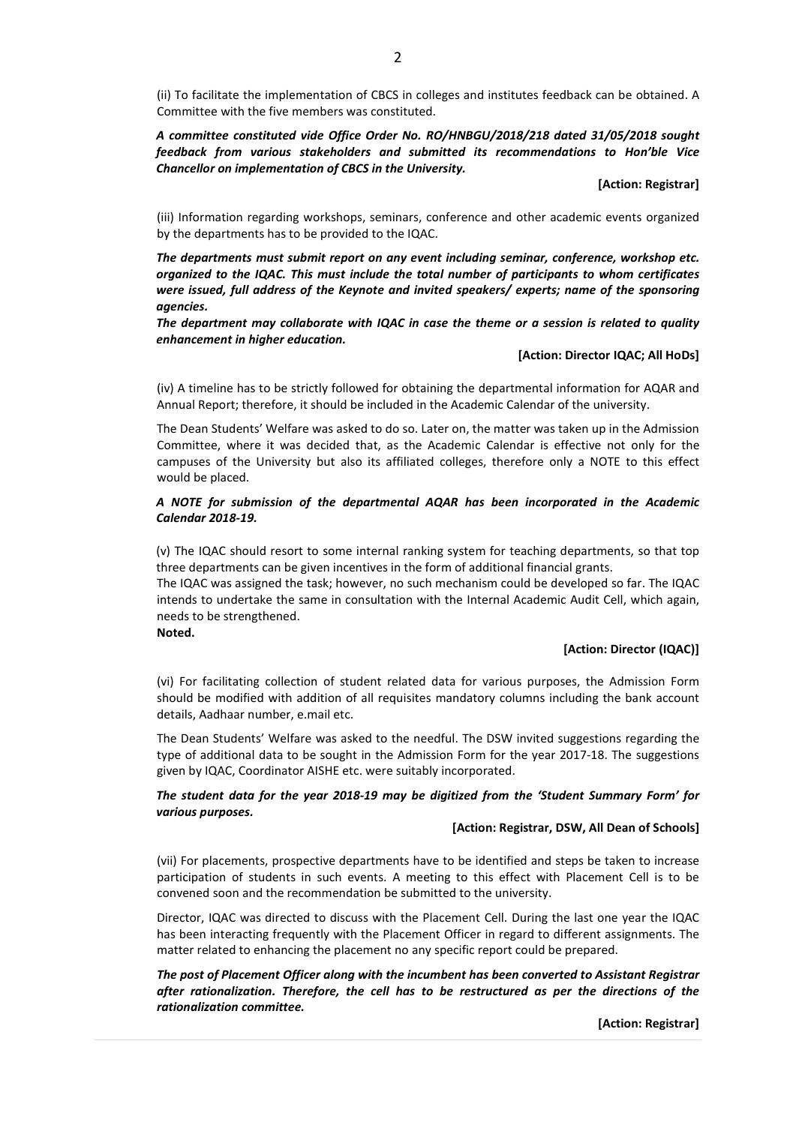(ii) To facilitate the implementation of CBCS in colleges and institutes feedback can be obtained. A Committee with the five members was constituted.

A committee constituted vide Office Order No. RO/HNBGU/2018/218 dated 31/05/2018 sought feedback from various stakeholders and submitted its recommendations to Hon'ble Vice Chancellor on implementation of CBCS in the University.

[Action: Registrar]

(iii) Information regarding workshops, seminars, conference and other academic events organized by the departments has to be provided to the IQAC.

The departments must submit report on any event including seminar, conference, workshop etc. organized to the IQAC. This must include the total number of participants to whom certificates were issued, full address of the Keynote and invited speakers/ experts; name of the sponsoring agencies.

The department may collaborate with IQAC in case the theme or a session is related to quality enhancement in higher education.

## [Action: Director IQAC; All HoDs]

(iv) A timeline has to be strictly followed for obtaining the departmental information for AQAR and Annual Report; therefore, it should be included in the Academic Calendar of the university.

The Dean Students' Welfare was asked to do so. Later on, the matter was taken up in the Admission Committee, where it was decided that, as the Academic Calendar is effective not only for the campuses of the University but also its affiliated colleges, therefore only a NOTE to this effect would be placed.

## A NOTE for submission of the departmental AQAR has been incorporated in the Academic Calendar 2018-19.

(v) The IQAC should resort to some internal ranking system for teaching departments, so that top three departments can be given incentives in the form of additional financial grants.

The IQAC was assigned the task; however, no such mechanism could be developed so far. The IQAC intends to undertake the same in consultation with the Internal Academic Audit Cell, which again, needs to be strengthened.

Noted.

## [Action: Director (IQAC)]

(vi) For facilitating collection of student related data for various purposes, the Admission Form should be modified with addition of all requisites mandatory columns including the bank account details, Aadhaar number, e.mail etc.

The Dean Students' Welfare was asked to the needful. The DSW invited suggestions regarding the type of additional data to be sought in the Admission Form for the year 2017-18. The suggestions given by IQAC, Coordinator AISHE etc. were suitably incorporated.

# The student data for the year 2018-19 may be digitized from the 'Student Summary Form' for various purposes.

## [Action: Registrar, DSW, All Dean of Schools]

(vii) For placements, prospective departments have to be identified and steps be taken to increase participation of students in such events. A meeting to this effect with Placement Cell is to be convened soon and the recommendation be submitted to the university.

Director, IQAC was directed to discuss with the Placement Cell. During the last one year the IQAC has been interacting frequently with the Placement Officer in regard to different assignments. The matter related to enhancing the placement no any specific report could be prepared.

The post of Placement Officer along with the incumbent has been converted to Assistant Registrar after rationalization. Therefore, the cell has to be restructured as per the directions of the rationalization committee.

[Action: Registrar]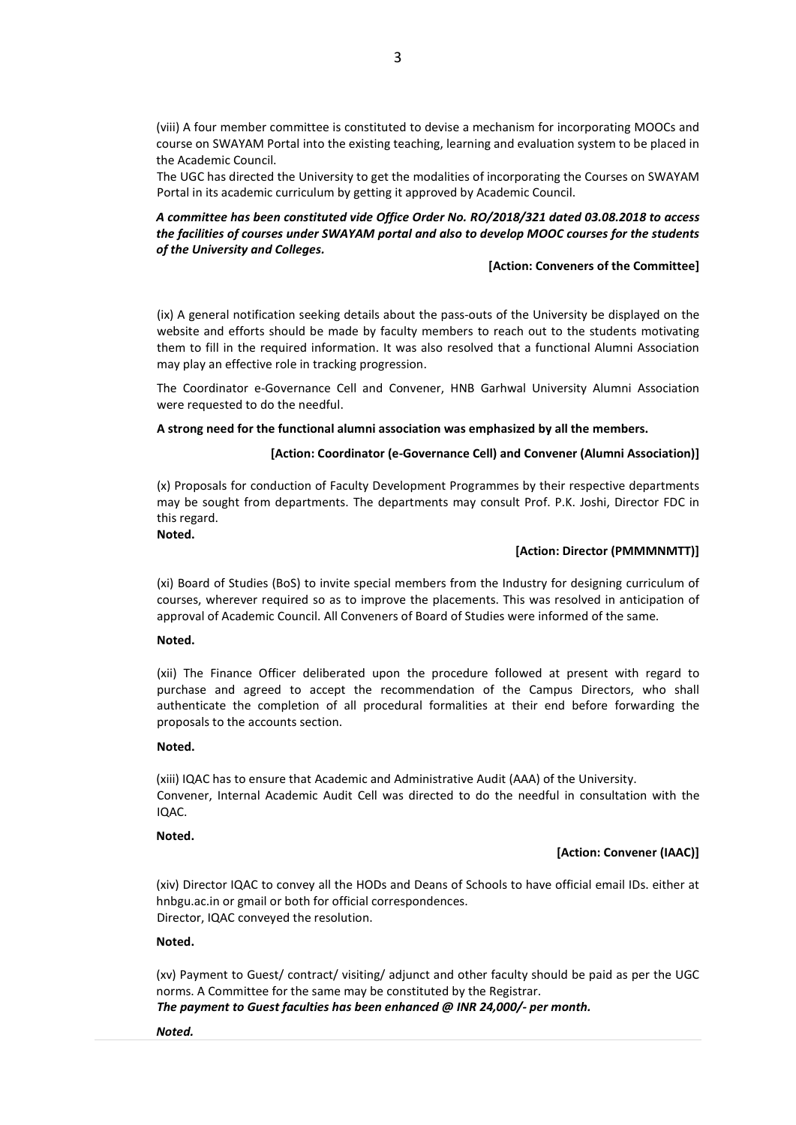(viii) A four member committee is constituted to devise a mechanism for incorporating MOOCs and course on SWAYAM Portal into the existing teaching, learning and evaluation system to be placed in the Academic Council.

The UGC has directed the University to get the modalities of incorporating the Courses on SWAYAM Portal in its academic curriculum by getting it approved by Academic Council.

# A committee has been constituted vide Office Order No. RO/2018/321 dated 03.08.2018 to access the facilities of courses under SWAYAM portal and also to develop MOOC courses for the students of the University and Colleges.

#### [Action: Conveners of the Committee]

(ix) A general notification seeking details about the pass-outs of the University be displayed on the website and efforts should be made by faculty members to reach out to the students motivating them to fill in the required information. It was also resolved that a functional Alumni Association may play an effective role in tracking progression.

The Coordinator e-Governance Cell and Convener, HNB Garhwal University Alumni Association were requested to do the needful.

## A strong need for the functional alumni association was emphasized by all the members.

## [Action: Coordinator (e-Governance Cell) and Convener (Alumni Association)]

(x) Proposals for conduction of Faculty Development Programmes by their respective departments may be sought from departments. The departments may consult Prof. P.K. Joshi, Director FDC in this regard.

## Noted.

#### [Action: Director (PMMMNMTT)]

(xi) Board of Studies (BoS) to invite special members from the Industry for designing curriculum of courses, wherever required so as to improve the placements. This was resolved in anticipation of approval of Academic Council. All Conveners of Board of Studies were informed of the same.

#### Noted.

(xii) The Finance Officer deliberated upon the procedure followed at present with regard to purchase and agreed to accept the recommendation of the Campus Directors, who shall authenticate the completion of all procedural formalities at their end before forwarding the proposals to the accounts section.

#### Noted.

(xiii) IQAC has to ensure that Academic and Administrative Audit (AAA) of the University. Convener, Internal Academic Audit Cell was directed to do the needful in consultation with the IQAC.

## Noted.

## [Action: Convener (IAAC)]

(xiv) Director IQAC to convey all the HODs and Deans of Schools to have official email IDs. either at hnbgu.ac.in or gmail or both for official correspondences. Director, IQAC conveyed the resolution.

## Noted.

(xv) Payment to Guest/ contract/ visiting/ adjunct and other faculty should be paid as per the UGC norms. A Committee for the same may be constituted by the Registrar.

The payment to Guest faculties has been enhanced @ INR 24,000/- per month.

Noted.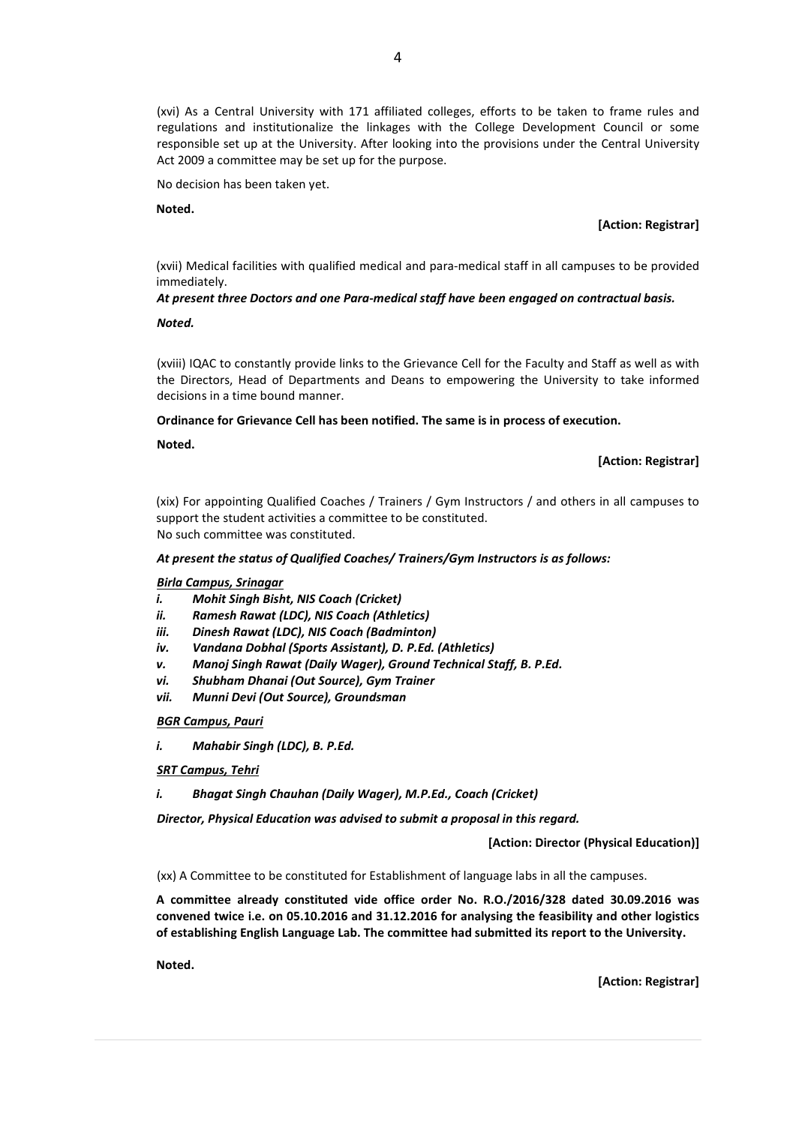(xvi) As a Central University with 171 affiliated colleges, efforts to be taken to frame rules and regulations and institutionalize the linkages with the College Development Council or some responsible set up at the University. After looking into the provisions under the Central University Act 2009 a committee may be set up for the purpose.

No decision has been taken yet.

Noted.

[Action: Registrar]

(xvii) Medical facilities with qualified medical and para-medical staff in all campuses to be provided immediately.

# At present three Doctors and one Para-medical staff have been engaged on contractual basis.

Noted.

(xviii) IQAC to constantly provide links to the Grievance Cell for the Faculty and Staff as well as with the Directors, Head of Departments and Deans to empowering the University to take informed decisions in a time bound manner.

Ordinance for Grievance Cell has been notified. The same is in process of execution.

Noted.

## [Action: Registrar]

(xix) For appointing Qualified Coaches / Trainers / Gym Instructors / and others in all campuses to support the student activities a committee to be constituted. No such committee was constituted.

## At present the status of Qualified Coaches/ Trainers/Gym Instructors is as follows:

Birla Campus, Srinagar

- i. Mohit Singh Bisht, NIS Coach (Cricket)
- ii. Ramesh Rawat (LDC), NIS Coach (Athletics)
- iii. Dinesh Rawat (LDC), NIS Coach (Badminton)
- iv. Vandana Dobhal (Sports Assistant), D. P.Ed. (Athletics)
- v. Manoj Singh Rawat (Daily Wager), Ground Technical Staff, B. P.Ed.
- vi. Shubham Dhanai (Out Source), Gym Trainer
- vii. Munni Devi (Out Source), Groundsman

BGR Campus, Pauri

- i. Mahabir Singh (LDC), B. P.Ed.
- SRT Campus, Tehri
- i. Bhagat Singh Chauhan (Daily Wager), M.P.Ed., Coach (Cricket)

Director, Physical Education was advised to submit a proposal in this regard.

[Action: Director (Physical Education)]

(xx) A Committee to be constituted for Establishment of language labs in all the campuses.

A committee already constituted vide office order No. R.O./2016/328 dated 30.09.2016 was convened twice i.e. on 05.10.2016 and 31.12.2016 for analysing the feasibility and other logistics of establishing English Language Lab. The committee had submitted its report to the University.

Noted.

[Action: Registrar]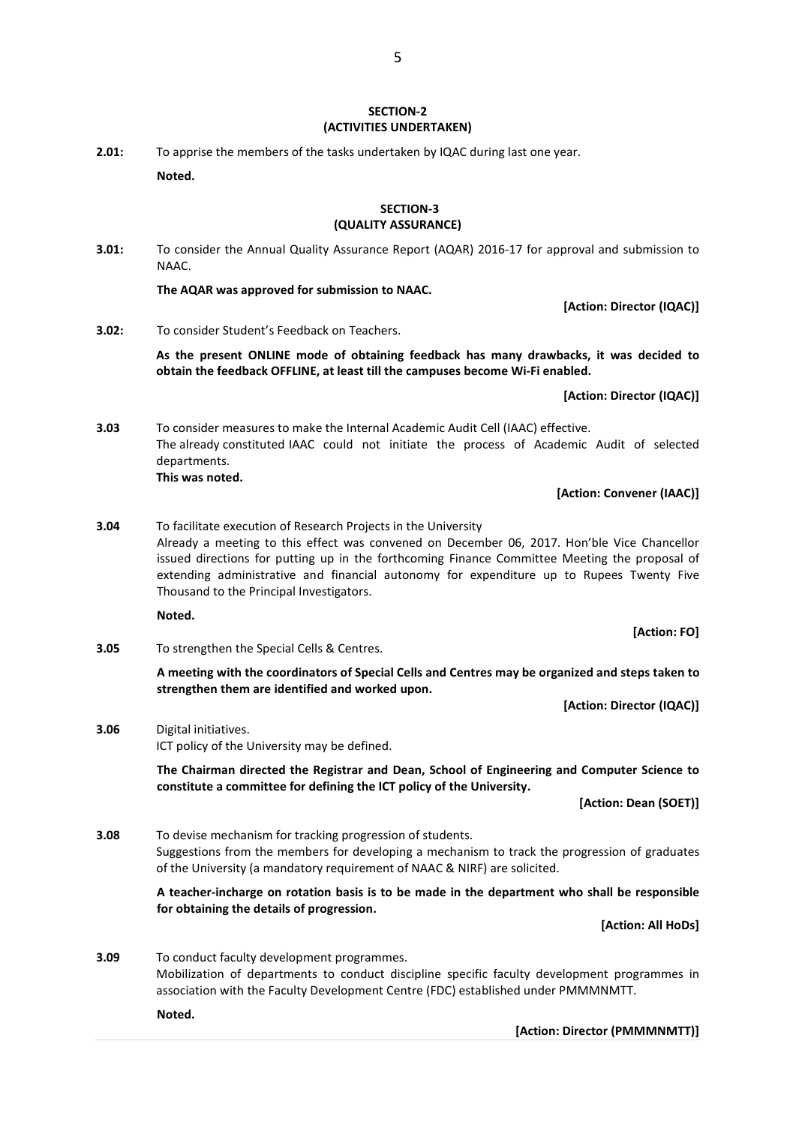# SECTION-2 (ACTIVITIES UNDERTAKEN)

2.01: To apprise the members of the tasks undertaken by IQAC during last one year. Noted.

## SECTION-3 (QUALITY ASSURANCE)

3.01: To consider the Annual Quality Assurance Report (AQAR) 2016-17 for approval and submission to NAAC.

The AQAR was approved for submission to NAAC.

[Action: Director (IQAC)]

3.02: To consider Student's Feedback on Teachers.

As the present ONLINE mode of obtaining feedback has many drawbacks, it was decided to obtain the feedback OFFLINE, at least till the campuses become Wi-Fi enabled.

[Action: Director (IQAC)]

3.03 To consider measures to make the Internal Academic Audit Cell (IAAC) effective. The already constituted IAAC could not initiate the process of Academic Audit of selected departments. This was noted.

# [Action: Convener (IAAC)]

3.04 To facilitate execution of Research Projects in the University Already a meeting to this effect was convened on December 06, 2017. Hon'ble Vice Chancellor issued directions for putting up in the forthcoming Finance Committee Meeting the proposal of extending administrative and financial autonomy for expenditure up to Rupees Twenty Five Thousand to the Principal Investigators.

Noted.

3.05 To strengthen the Special Cells & Centres.

 A meeting with the coordinators of Special Cells and Centres may be organized and steps taken to strengthen them are identified and worked upon.

[Action: Director (IQAC)]

[Action: FO]

3.06 Digital initiatives. ICT policy of the University may be defined.

> The Chairman directed the Registrar and Dean, School of Engineering and Computer Science to constitute a committee for defining the ICT policy of the University.

> > [Action: Dean (SOET)]

3.08 To devise mechanism for tracking progression of students. Suggestions from the members for developing a mechanism to track the progression of graduates of the University (a mandatory requirement of NAAC & NIRF) are solicited.

> A teacher-incharge on rotation basis is to be made in the department who shall be responsible for obtaining the details of progression.

> > [Action: All HoDs]

3.09 To conduct faculty development programmes. Mobilization of departments to conduct discipline specific faculty development programmes in association with the Faculty Development Centre (FDC) established under PMMMNMTT.

Noted.